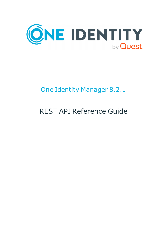

# One Identity Manager 8.2.1

# REST API Reference Guide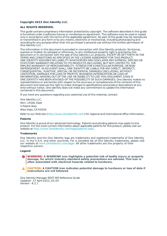#### **Copyright 2022 One Identity LLC.**

#### **ALL RIGHTS RESERVED.**

This guide contains proprietary information protected by copyright. The software described in this guide is furnished under a software license or nondisclosure agreement. This software may be used or copied only in accordance with the terms of the applicable agreement. No part of this guide may be reproduced or transmitted in any form or by any means, electronic or mechanical, including photocopying and recording for any purpose other than the purchaser's personal use without the written permission of One Identity LLC .

The information in this document is provided in connection with One Identity products. No license, express or implied, by estoppel or otherwise, to any intellectual property right is granted by this document or in connection with the sale of One Identity LLC products. EXCEPT AS SET FORTH IN THE TERMS AND CONDITIONS AS SPECIFIED IN THE LICENSE AGREEMENT FOR THIS PRODUCT, ONE IDENTITY ASSUMES NO LIABILITY WHATSOEVER AND DISCLAIMS ANY EXPRESS, IMPLIED OR STATUTORY WARRANTY RELATING TO ITS PRODUCTS INCLUDING, BUT NOT LIMITED TO, THE IMPLIED WARRANTY OF MERCHANTABILITY, FITNESS FOR A PARTICULAR PURPOSE, OR NON-INFRINGEMENT. IN NO EVENT SHALL ONE IDENTITY BE LIABLE FOR ANY DIRECT, INDIRECT, CONSEQUENTIAL, PUNITIVE, SPECIAL OR INCIDENTAL DAMAGES (INCLUDING, WITHOUT LIMITATION, DAMAGES FOR LOSS OF PROFITS, BUSINESS INTERRUPTION OR LOSS OF INFORMATION) ARISING OUT OF THE USE OR INABILITY TO USE THIS DOCUMENT, EVEN IF ONE IDENTITY HAS BEEN ADVISED OF THE POSSIBILITY OF SUCH DAMAGES. One Identity makes no representations or warranties with respect to the accuracy or completeness of the contents of this document and reserves the right to make changes to specifications and product descriptions at any time without notice. One Identity does not make any commitment to update the information contained in this document.

If you have any questions regarding your potential use of this material, contact:

One Identity LLC. Attn: LEGAL Dept 4 Polaris Way Aliso Viejo, CA 92656

Refer to our Web site ([http://www.OneIdentity.com](http://www.oneidentity.com/)) for regional and international office information.

#### **Patents**

One Identity is proud of our advanced technology. Patents and pending patents may apply to this product. For the most current information about applicable patents for this product, please visit our website at [http://www.OneIdentity.com/legal/patents.aspx](http://www.oneidentity.com/legal/patents.aspx).

#### **Trademarks**

One Identity and the One Identity logo are trademarks and registered trademarks of One Identity LLC. in the U.S.A. and other countries. For a complete list of One Identity trademarks, please visit our website at [www.OneIdentity.com/legal](http://www.oneidentity.com/legal). All other trademarks are the property of their respective owners.

#### **Legend**

**WARNING: A WARNING icon highlights a potential risk of bodily injury or property damage, for which industry-standard safety precautions are advised. This icon is often associated with electrical hazards related to hardware.**

**CAUTION: A CAUTION icon indicates potential damage to hardware or loss of data if** A **instructions are not followed.**

One Identity Manager REST API Reference Guide Updated - 27 April 2022, 02:05 Version - 8.2.1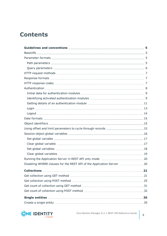## **Contents**

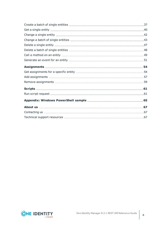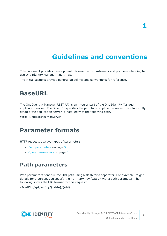# **Guidelines and conventions**

<span id="page-4-0"></span>This document provides development information for customers and partners intending to use One Identity Manager REST APIs.

<span id="page-4-1"></span>The initial sections provide general guidelines and conventions for reference.

## **BaseURL**

The One Identity Manager REST API is an integral part of the One Identity Manager application server. The BaseURL specifies the path to an application server installation. By default, the application server is installed with the following path.

<span id="page-4-2"></span>https://<Hostname>/AppServer

## **Parameter formats**

HTTP requests use two types of parameters:

- Path [parameters](#page-4-3) on page 5
- <span id="page-4-3"></span> $\cdot$  Query [parameters](#page-5-0) on page 6

## **Path parameters**

Path parameters continue the URI path using a slash for a separator. For example, to get details for a person, you specify their primary key (GUID) with a path parameter. The following shows the URI format for this request:

<BaseURL>/api/entity/{table}/{uid}



**5**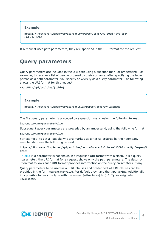#### **Example:**

https://<Hostname>/AppServer/api/entity/Person/25d87790-105d-4afb-bd04 cfddc7cc9fb5

<span id="page-5-0"></span>If a request uses path parameters, they are specified in the URI format for the request.

## **Query parameters**

Query parameters are included in the URI path using a question mark or ampersand. For example, to receive a list of people ordered by their surname, after specifying the table person as a path parameter, you specify an orderBy as a query parameter. The following shows the URI format for this request:

<BaseURL>/api/entities/{table}

#### **Example:**

https://<Hostname>/AppServer/api/entities/person?orderBy=LastName

The first query parameter is preceded by a question mark, using the following format:

?parameterName=parameterValue

Subsequent query parameters are preceded by an ampersand, using the following format:

&parameterName=parameterValue

For example, to get all people who are marked as external ordered by their company membership, use the following request:

https://<Hostname>/AppServer/api/entities/person?where=IsExternal%3D0&orderBy=CompanyM ember

NOTE: If a parameter is not shown in a request's URI format with a slash, it is a query parameter; the URI format for a request shows only the path parameters. The description that follows each URI format provides information on the query parameters, if any.

Query parameters to be used in WHERE clauses and predefined WHERE clauses can be provided in the form @paramname=value. Per default they have the type string. Additionally, it is possible to pass the type with the name: @otherParam[int]=3. Types originate from DbVal class.

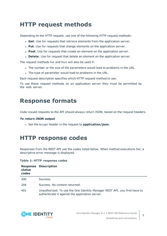## <span id="page-6-0"></span>**HTTP request methods**

Depending on the HTTP request, use one of the following HTTP request methods:

- **Get**: Use for requests that retrieve elements from the application server.
- **Put**: Use for requests that change elements on the application server.
- **Post:** Use for requests that create an element on the application server.
- **Delete**: Use for request that delete an element on the application server.

The request methods Put and Post will also be used if:

- The number or the size of the parameters would lead to problems in the URL.
- . The type of parameter would lead to problems in the URL.

Each request description specifies which HTTP request method to use.

To use these request methods on an application server they must be permitted by the web server.

## <span id="page-6-1"></span>**Response formats**

Code-issued requests to the API should always return JSON, based on the request headers.

#### *To return JSON output*

**.** Set the Accept header in the request to **application/json**.

## <span id="page-6-2"></span>**HTTP response codes**

Responses from the REST API use the codes listed below. When method executions fail, a descriptive error message is displayed.

#### **Table 1: HTTP response codes**

| status<br>codes | <b>Response Description</b>                                                                                                  |
|-----------------|------------------------------------------------------------------------------------------------------------------------------|
| 200             | Success.                                                                                                                     |
| 204             | Success. No content returned.                                                                                                |
| 401             | Unauthorized. To use the One Identity Manager REST API, you first have to<br>authenticate it against the application server. |

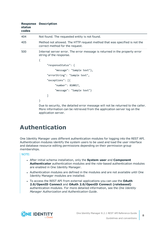| status<br>codes | <b>Response Description</b>                                                                                                                                 |
|-----------------|-------------------------------------------------------------------------------------------------------------------------------------------------------------|
| 404             | Not found. The requested entity is not found.                                                                                                               |
| 405             | Method not allowed. The HTTP request method that was specified is not the<br>correct method for the request.                                                |
| 500             | Internal server error. The error message is returned in the property error<br>string of the response.                                                       |
|                 | {                                                                                                                                                           |
|                 | "responseStatus": {                                                                                                                                         |
|                 | "message": "Sample text"},                                                                                                                                  |
|                 | "errorString": "Sample text",                                                                                                                               |
|                 | "exceptions": [{                                                                                                                                            |
|                 | "number": 810017,                                                                                                                                           |
|                 | "message": "Sample text"}                                                                                                                                   |
|                 |                                                                                                                                                             |
|                 | }                                                                                                                                                           |
|                 | Due to security, the detailed error message will not be returned to the caller.<br>Mare information can be retrieved from the application conver leg on the |

More information can be retrieved from the application server log on the application server.

## <span id="page-7-0"></span>**Authentication**

One Identity Manager uses different authentication modules for logging into the REST API. Authentication modules identify the system users to be used and load the user interface and database resource editing permissions depending on their permission group memberships.

NOTE:

- <sup>l</sup> After initial schema installation, only the **System user** and **Component Authenticator** authentication modules and the role-based authentication modules are enabled in One Identity Manager.
- Authentication modules are defined in the modules and are not available until One Identity Manager modules are installed.
- <sup>l</sup> To access the REST API from external applications you can use the **OAuth 2.0/OpenID Connect** and **OAuth 2.0/OpenID Connect (rolebased)** authentication modules. For more detailed information, see the *One Identity Manager Authorization and Authentication Guide*.

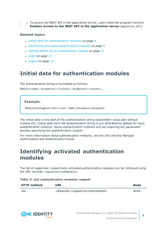• To access the REST API in the application server, users need the program function **Enables access to the REST API in the application server** (AppServer\_API).

#### **Related topics**

- Initial data for [authentication](#page-8-0) modules on page 9
- Identifying activated [authentication](#page-8-1) modules on page 9
- $\cdot$  Getting details of an [authentication](#page-10-0) module on page 11
- $\cdot$  [Login](#page-12-0) on page 13
- [Logout](#page-13-0) on page 14

## <span id="page-8-0"></span>**Initial data for authentication modules**

The authentication string is formatted as follows:

Module=<name>;<property1>=<value1>;<property2>=<value2>,…

#### **Example:**

Module=DialogUser;User=<user name>;Password=<password>

The initial data is one part of the authentication string (parameter-value pair without module ID). Initial data from the authentication string is pre-allocated by default for each authentication instance. Some authentication modules are not requiring any parameter besides specifying the authentication module.

For more information about authentication modules, see the *One Identity Manager Authorization and Authentication Guide*.

## <span id="page-8-1"></span>**Identifying activated authentication modules**

The list of supported, respectively activated authentication modules can be retrieved using the URL <BaseURL>/appserver/authmodules.

| Table 2: List authentication modules request |  |  |  |
|----------------------------------------------|--|--|--|
|----------------------------------------------|--|--|--|

| <b>HTTP</b> method | URI                                       | <b>Body</b> |
|--------------------|-------------------------------------------|-------------|
| Get                | <baseurl>/appserver/authmodules</baseurl> | None        |

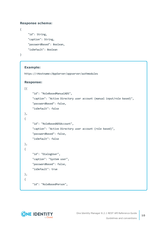#### **Response schema:**

```
"id": String,
"caption": String,
"passwordBased": Boolean,
"isDefault": Boolean
```
}

{

### **Example:**

https://<Hostname>/AppServer/appserver/authmodules

#### **Response:**

```
[{
     "id": "RoleBasedManualADS",
     "caption": "Active Directory user account (manual input/role based)",
     "passwordBased": false,
     "isDefault": false
},
{
     "id": "RoleBasedADSAccount",
     "caption": "Active Directory user account (role based)",
     "passwordBased": false,
     "isDefault": false
},
{
     "id": "DialogUser",
     "caption": "System user",
     "passwordBased": false,
     "isDefault": true
},
{
     "id": "RoleBasedPerson",
```
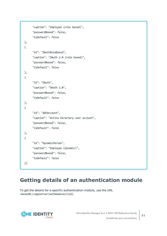```
"caption": "Employee (role based)",
     "passwordBased": false,
     "isDefault": false
},
{
     "id": "OAuthRoleBased",
     "caption": "OAuth 2.0 (role based)",
     "passwordBased": false,
     "isDefault": false
},
{
     "id": "OAuth",
     "caption": "OAuth 2.0",
     "passwordBased": false,
     "isDefault": false
},
{
     "id": "ADSAccount",
     "caption": "Active Directory user account",
     "passwordBased": false,
     "isDefault": false
},
{
     "id": "DynamicPerson",
     "caption": "Employee (dynamic)",
     "passwordBased": false,
     "isDefault": false
}]
```
## <span id="page-10-0"></span>**Getting details of an authentication module**

To get the details for a specific authentication module, use the URL <baseURL>/appserver/authmodules/{id}.

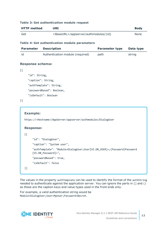#### **Table 3: Get authentication module request**

| <b>HTTP method</b>                                     | <b>URI</b>                                                                |                       | <b>Body</b> |
|--------------------------------------------------------|---------------------------------------------------------------------------|-----------------------|-------------|
| <baseurl>/appserver/authmodules/{id}<br/>Get</baseurl> |                                                                           | None                  |             |
|                                                        | Table 4: Get authentication module parameters                             |                       |             |
| <b>Parameter</b>                                       | <b>Description</b>                                                        | <b>Parameter type</b> | Data type   |
| id                                                     | Authentication module (required)                                          | path                  | string      |
| <b>Response schema:</b>                                |                                                                           |                       |             |
| [{                                                     |                                                                           |                       |             |
| "id": String,                                          |                                                                           |                       |             |
|                                                        | "caption": String,                                                        |                       |             |
|                                                        | "authTemplate": String,                                                   |                       |             |
|                                                        | "passwordBased": Boolean,                                                 |                       |             |
|                                                        | "isDefault": Boolean                                                      |                       |             |
| $\}$ ]                                                 |                                                                           |                       |             |
|                                                        |                                                                           |                       |             |
| <b>Example:</b>                                        |                                                                           |                       |             |
|                                                        | https:// <hostname>/AppServer/appserver/authmodules/DialogUser</hostname> |                       |             |
| <b>Response:</b>                                       |                                                                           |                       |             |
| $[ \{$                                                 |                                                                           |                       |             |
|                                                        | "id": "DialogUser",                                                       |                       |             |
|                                                        | "caption": "System user",                                                 |                       |             |

The values in the property authTemplate can be used to identify the format of the authString needed to authenticate against the application server. You can ignore the parts in [] and () as those are the caption keys and value types used in the front ends only.

"authTemplate": "Module=DialogUser;User[VI.DB\_USER]=;(Password)Password

For example, a valid authentication string would be Module=DialogUser;User=MyUser;Password=\$ecret.

[VI.DB\_Password]=", "passwordBased": true,

"isDefault": false



}]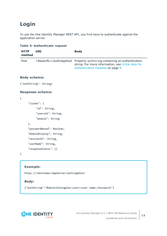## <span id="page-12-0"></span>**Login**

To use the One Identity Manager REST API, you first have to authenticate against the application server.

|                       | rapie 5. Authenticate request |                                                                                                                                                                                |
|-----------------------|-------------------------------|--------------------------------------------------------------------------------------------------------------------------------------------------------------------------------|
| <b>HTTP</b><br>method | <b>URI</b>                    | <b>Body</b>                                                                                                                                                                    |
| Post                  |                               | <baseurl>/auth/apphost Property authString containing an authentication<br/>string. For more information, see Initial data for<br/>authentication modules on page 9.</baseurl> |
| <b>Body schema:</b>   |                               |                                                                                                                                                                                |
|                       | {"authString": String}        |                                                                                                                                                                                |
|                       | <b>Response schema:</b>       |                                                                                                                                                                                |
| {                     |                               |                                                                                                                                                                                |
|                       | "claims": $\{$                |                                                                                                                                                                                |
|                       | "id": String,                 |                                                                                                                                                                                |
|                       | "useruid": String,            |                                                                                                                                                                                |
|                       | "module": String              |                                                                                                                                                                                |
| },                    |                               |                                                                                                                                                                                |
|                       | "passwordBased": Boolean,     |                                                                                                                                                                                |
|                       | "moduleDisplay": String,      |                                                                                                                                                                                |
|                       | "sessionId": String,          |                                                                                                                                                                                |

## **Table 5: Authenticate request**

}

### **Example:**

"userName": String, "responseStatus": {}

https://<Hostname>/AppServer/auth/apphost

### **Body:**

{"authString":"Module=DialogUser;User=<user name>;Password="}

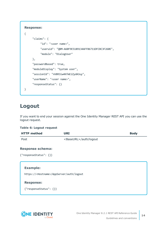```
Response:
{
     "claims": {
          "id": "<user name>",
          "useruid": "QBM-A60F9E5189134AFFB6711DFCBC3F260E",
          "module": "DialogUser"
     },
     "passwordBased": true,
     "moduleDisplay": "System user",
     "sessionId": "nV8R3iw4KfmEiZydA3uy",
     "userName": "<user name>",
     "responseStatus": {}
}
```
## <span id="page-13-0"></span>**Logout**

If you want to end your session against the One Identity Manager REST API you can use the logout request.

#### **Table 6: Logout request**

| <b>HTTP</b> method                                                      | <b>URI</b>                      | <b>Body</b> |
|-------------------------------------------------------------------------|---------------------------------|-------------|
| Post                                                                    | <baseurl>/auth/logout</baseurl> |             |
| <b>Response schema:</b><br>{"responseStatus": {}}                       |                                 |             |
| <b>Example:</b><br>https:// <hostname>/AppServer/auth/logout</hostname> |                                 |             |
| <b>Response:</b><br>{"responseStatus": {}}                              |                                 |             |

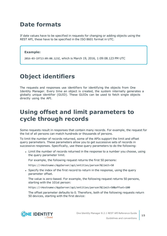## <span id="page-14-0"></span>**Date formats**

If date values have to be specified in requests for changing or adding objects using the REST API, these have to be specified in the ISO 8601 format in UTC.

### **Example:**

2016-03-19T13:09:08.123Z, which is March 19, 2016, 1:09:08.123 PM UTC

## <span id="page-14-1"></span>**Object identifiers**

The requests and responses use identifiers for identifying the objects from One Identity Manager. Every time an object is created, the system internally generates a globally unique identifier (GUID). These GUIDs can be used to fetch single objects directly using the API.

## <span id="page-14-2"></span>**Using offset and limit parameters to cycle through records**

Some requests result in responses that contain many records. For example, the request for the list of all persons can match hundreds or thousands of persons.

To limit the number of records returned, some of the APIs support the limit and offset query parameters. These parameters allow you to get successive sets of records in successive responses. Specifically, use these query parameters to do the following:

• Limit the number of records returned in the response to a number you choose, using the query parameter limit.

For example, the following request returns the first 50 persons:

https://<Hostname>/AppServer/api/entities/person?&limit=50

• Specify the index of the first record to return in the response, using the query parameter offset.

The value is zero-based. For example, the following request returns 50 persons, starting with the 101st person:

https://<Hostname>/AppServer/api/entities/person?&limit=50&offset=100

The offset parameter defaults to 0. Therefore, both of the following requests return 50 devices, starting with the first device:

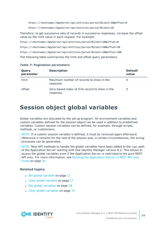https://<Hostname>/AppServer/api/entities/person?&limit=50&offset=0 https://<Hostname>/AppServer/api/entities/person?&limit=50

Therefore, to get successive sets of records in successive responses, increase the offset value by the limit value in each request. For example:

https://<Hostname>/AppServer/api/entities/person?&limit=50&offset=0 https://<Hostname>/AppServer/api/entities/person?&limit=50&offset=50 https://<Hostname>/AppServer/api/entities/person?&limit=50&offset=100

The following table summarizes the limit and offset query parameters.

| Query<br>parameter | <b>Description</b>                                           | <b>Default</b><br>value |
|--------------------|--------------------------------------------------------------|-------------------------|
| limit              | Maximum number of records to show in the<br>response.        |                         |
| offset             | Zero-based index of first record to show in the<br>response. |                         |

#### **Table 7: Pagination parameters**

## <span id="page-15-0"></span>**Session object global variables**

Global variables are allocated by the set up program. All environment variables and custom variables defined for the session object can be used in addition to predefined variables. Custom session variables can be defined, for example, through scripts, methods, or customizers.

NOTE: If a custom session variable is defined, it must be removed again afterward. Otherwise it remains for the rest of the session and, in certain circumstances, the wrong processes can be generated.

NOTE: New API methods to handle the global variables have been added to the /api path of the Application Server starting with One Identity Manager version 8.2. This allows to access the global variables even if the Application Server is restricted to the pure REST API only. For more [information,](#page-19-0) see Running the Application Server in REST API only [mode](#page-19-0) on page 20.

## **Related topics**

- Set global [variable](#page-16-0) on page 17
- Clear global [variable](#page-16-1) on page 17
- Set global [variables](#page-17-0) on page 18
- Clear global [variables](#page-18-0) on page 19

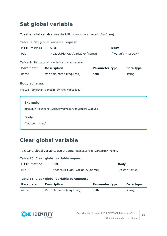## <span id="page-16-0"></span>**Set global variable**

To set a global variable, use the URL <br/>baseURL>/api/variable/{name}.

#### **Table 8: Set global variable request**

| <b>HTTP</b> method | URI                                     | <b>Body</b>           |                                               |
|--------------------|-----------------------------------------|-----------------------|-----------------------------------------------|
| Put                | <baseurl>/api/variable/{name}</baseurl> |                       | $\{$ "value": <value> <math>\}</math></value> |
|                    | Table 9: Set global variable parameters |                       |                                               |
| <b>Parameter</b>   | <b>Description</b>                      | <b>Parameter type</b> | Data type                                     |

name Variable name (required). path string

#### **Body schema:**

{value (object): Content of the variable.}

| <b>Example:</b>                                                |  |
|----------------------------------------------------------------|--|
| https:// <hostname>/AppServer/api/variable/FullSync</hostname> |  |
| <b>Body:</b>                                                   |  |
|                                                                |  |

## <span id="page-16-1"></span>**Clear global variable**

To clear a global variable, use the URL <br/>baseURL>/api/variable/{name}.

#### **Table 10: Clear global variable request**

| <b>HTTP</b> method | URI                                        |                                                            | <b>Body</b> |
|--------------------|--------------------------------------------|------------------------------------------------------------|-------------|
| Put                |                                            | {"clear": true}<br><baseurl>/api/variable/{name}</baseurl> |             |
|                    | Table 11: Clear global variable parameters |                                                            |             |
| <b>Parameter</b>   | <b>Description</b>                         | <b>Parameter type</b>                                      | Data type   |
| name               | Variable name (required).                  | path                                                       | string      |



**17**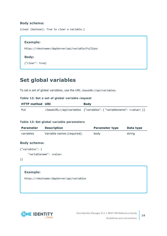### **Body schema:**

```
{clear (boolean): True to clear a variable.}
```
#### **Example:**

https://<Hostname>/AppServer/api/variable/FullSync

### **Body:**

{"clear": true}

## <span id="page-17-0"></span>**Set global variables**

To set a set of global variables, use the URL <br/>baseURL>/api/variables.

#### **Table 12: Set a set of global variable request**

| <b>HTTP method URI</b> | <b>Body</b> |
|------------------------|-------------|
| Put                    |             |

#### **Table 13: Set global variable parameters**

| <b>Parameter</b>                | <b>Description</b>         | <b>Parameter type</b> | Data type |
|---------------------------------|----------------------------|-----------------------|-----------|
| variables                       | Variable names (required). | body                  | string    |
| <b>Body schema:</b>             |                            |                       |           |
| {"variables": {                 |                            |                       |           |
| "variablename": <value></value> |                            |                       |           |
| $\}$                            |                            |                       |           |
|                                 |                            |                       |           |
|                                 |                            |                       |           |

#### **Example:**

https://<Hostname>/AppServer/api/variables

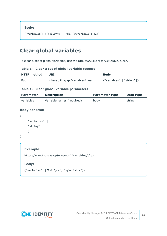**Body:**

```
{"variables": {"FullSync": True, "MyVariable": 42}}
```
## <span id="page-18-0"></span>**Clear global variables**

To clear a set of global variables, use the URL <br/>baseURL>/api/variables/clear.

#### **Table 14: Clear a set of global variable request**

| <b>HTTP method</b> | URI | <b>Body</b>                          |
|--------------------|-----|--------------------------------------|
| Put                |     | $\{$ "variables": $\{$ "string" $\}$ |

### **Table 15: Clear global variable parameters**

| <b>Parameter</b>    | <b>Description</b>        | <b>Parameter type</b> | Data type |
|---------------------|---------------------------|-----------------------|-----------|
| variables           | Variable names (required) | body                  | string    |
| <b>Body schema:</b> |                           |                       |           |
|                     |                           |                       |           |
| "variables": [      |                           |                       |           |

```
}
```
## **Example:**

"string"

]

https://<Hostname>/AppServer/api/variables/clear

## **Body:**

{"variables": ["FullSync", "MyVariable"]}

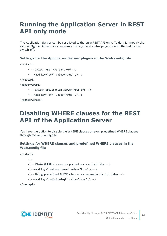## <span id="page-19-0"></span>**Running the Application Server in REST API only mode**

The Application Server can be restricted to the pure REST API only. To do this, modify the Web.config file. All services necessary for login and status page are not affected by the switch-off.

### **Settings for the Application Server plugins in the Web.config file**

```
<restapi>
     <!-- Switch REST API part off -->
     <!--<add key="off" value="true" />-->
</restapi>
<appserverapi>
     <!-- Switch application server APIs off -->
     <!--<add key="off" value="true" />-->
</appserverapi>
```
## <span id="page-19-1"></span>**Disabling WHERE clauses for the REST API of the Application Server**

You have the option to disable the WHERE clauses or even predefined WHERE clauses through the Web.config file.

### **Settings for WHERE clauses and predefined WHERE clauses in the Web.config file**

```
<restapi>
```

```
...
<!-- Plain WHERE clauses as parameters are forbidden -->
<!--<add key="nowhereclause" value="true" />-->
<!-- Using predefined WHERE clauses as parameter is forbidden -->
<!--<add key="nolimitedsql" value="true" />-->
```
</restapi>

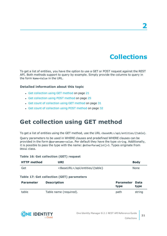## **Collections**

<span id="page-20-0"></span>To get a list of entities, you have the option to use a GET or POST request against the REST API. Both methods support to query by example. Simply provide the columns to query in the form Name=Value in the URL.

### **Detailed information about this topic**

- Get [collection](#page-20-1) using GET method on page 21
- Get [collection](#page-24-0) using POST method on page 25
- Get count of [collection](#page-30-0) using GET method on page 31
- <span id="page-20-1"></span>• Get count of [collection](#page-31-0) using POST method on page 32

## **Get collection using GET method**

To get a list of entities using the GET method, use the URL <br/>baseURL>/api/entities/{table}.

Query parameters to be used in WHERE clauses and predefined WHERE clauses can be provided in the form @paramname=value. Per default they have the type string. Additionally, it is possible to pass the type with the name: @otherParam[int]=3. Types originate from DbVal class.

#### **Table 16: Get collection (GET) request**

| <b>HTTP</b> method | URI                                              |                          | <b>Body</b>  |
|--------------------|--------------------------------------------------|--------------------------|--------------|
| Get                | <baseurl>/api/entities/{table}</baseurl>         |                          | <b>None</b>  |
|                    | <b>Table 17: Get collection (GET) parameters</b> |                          |              |
| <b>Parameter</b>   | <b>Description</b>                               | <b>Parameter</b><br>type | Data<br>type |
| table              | Table name (required).                           | path                     | string       |

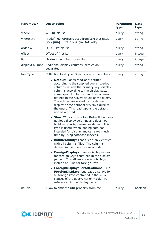| <b>Parameter</b> | <b>Description</b>                                                                                                                                                                                                                                                                                                                                                                                                                                                                                                                                                                                                                                                                                                                                                                                                                                                                                                                                                                                                                                                                                                                                                                                                                              | <b>Parameter</b><br>type | <b>Data</b><br>type |
|------------------|-------------------------------------------------------------------------------------------------------------------------------------------------------------------------------------------------------------------------------------------------------------------------------------------------------------------------------------------------------------------------------------------------------------------------------------------------------------------------------------------------------------------------------------------------------------------------------------------------------------------------------------------------------------------------------------------------------------------------------------------------------------------------------------------------------------------------------------------------------------------------------------------------------------------------------------------------------------------------------------------------------------------------------------------------------------------------------------------------------------------------------------------------------------------------------------------------------------------------------------------------|--------------------------|---------------------|
| where            | WHERE clause.                                                                                                                                                                                                                                                                                                                                                                                                                                                                                                                                                                                                                                                                                                                                                                                                                                                                                                                                                                                                                                                                                                                                                                                                                                   | query                    | string              |
| whereKey         | Predefined WHERE clause from QBMLimitedSQL<br>(Key [UID] or ID [Ident_QBMLimitedSQL]).                                                                                                                                                                                                                                                                                                                                                                                                                                                                                                                                                                                                                                                                                                                                                                                                                                                                                                                                                                                                                                                                                                                                                          | query                    | string              |
| orderBy          | ORDER BY clause.                                                                                                                                                                                                                                                                                                                                                                                                                                                                                                                                                                                                                                                                                                                                                                                                                                                                                                                                                                                                                                                                                                                                                                                                                                | query                    | string              |
| offset           | Offset of first item.                                                                                                                                                                                                                                                                                                                                                                                                                                                                                                                                                                                                                                                                                                                                                                                                                                                                                                                                                                                                                                                                                                                                                                                                                           | query                    | integer             |
| limit            | Maximum number of results.                                                                                                                                                                                                                                                                                                                                                                                                                                                                                                                                                                                                                                                                                                                                                                                                                                                                                                                                                                                                                                                                                                                                                                                                                      | query                    | integer             |
| displayColumns   | Additional display columns, semicolon<br>separated.                                                                                                                                                                                                                                                                                                                                                                                                                                                                                                                                                                                                                                                                                                                                                                                                                                                                                                                                                                                                                                                                                                                                                                                             | query                    | string              |
| loadType         | Collection load type. Specify one of the values:<br>• Default: Loads read-only entities<br>according to the supplied query. Loaded<br>columns include the primary key, display<br>columns according to the display pattern,<br>some special columns, and the columns<br>defined in the select clause of the query.<br>The entries are sorted by the defined<br>display or the optional orderBy clause of<br>the query. This load type is the default<br>and be omitted.<br>• Slim: Works mostly like Default but does<br>not load display columns and does not<br>build an orderBy clause per default. This<br>type is useful when loading data not<br>intended for display and can save much<br>time by using database indexes.<br>• BulkReadOnly: Loads read-only entities<br>with all columns filled. The columns<br>defined in the query are overridden.<br>• ForeignDisplays: Loads display values<br>for foreign keys contained in the display<br>pattern. This allows showing displays<br>instead of UIDs for foreign keys.<br>ForeignDisplaysForAllColumns: Like<br>ForeignDisplays, but loads displays for<br>all foreign keys contained in the select<br>clauses of the query, not only columns<br>referenced in the display pattern. | query                    | string              |
| noUrls           | Allow to omit the URI property from the                                                                                                                                                                                                                                                                                                                                                                                                                                                                                                                                                                                                                                                                                                                                                                                                                                                                                                                                                                                                                                                                                                                                                                                                         | query                    | boolean             |

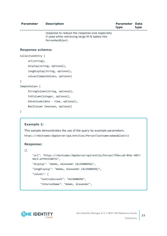| <b>Parameter</b>        | <b>Description</b>                                                                                                    | Parameter<br>type | <b>Data</b><br>type |  |
|-------------------------|-----------------------------------------------------------------------------------------------------------------------|-------------------|---------------------|--|
|                         | response to reduce the response size especially<br>if used while retrieving large M:N tables like<br>PersonHasObject. |                   |                     |  |
| <b>Response schema:</b> |                                                                                                                       |                   |                     |  |
| CollectionEntry {       |                                                                                                                       |                   |                     |  |
| uri(String),            |                                                                                                                       |                   |                     |  |
|                         | display(string, optional),                                                                                            |                   |                     |  |
|                         | longDisplay(string, optional),                                                                                        |                   |                     |  |
|                         | values(SampleValues, optional)                                                                                        |                   |                     |  |
| }                       |                                                                                                                       |                   |                     |  |
| SampleValues {          |                                                                                                                       |                   |                     |  |
|                         |                                                                                                                       |                   |                     |  |

```
StringColumn(string, optional),
IntColumn(integer, optional),
DateColumn(date - time, optional),
BoolColumn (boolean, optional)
```
}

### **Example 1:**

This sample demonstrates the use of the query by example parameters. https://<Hostname>/AppServer/api/entities/Person?lastname=adams&limit=2

#### **Response:**

#### [{

```
"uri": "https://<Hostname>/AppServer/api/entity/Person/7f6bcca9-05dc-4857-
9dc5-eff915590752",
"display": "Adams, Alexander (ALEXANDERA)",
"longDisplay": "Adams, Alexander (ALEXANDERA)",
"values": {
     "CentralAccount": "ALEXANDERA",
     "InternalName": "Adams, Alexander",
```
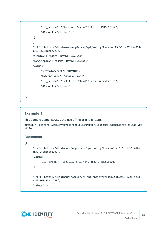```
"UID_Person": "7f6bcca9-05dc-4857-9dc5-eff915590752",
           "XMarkedForDeletion": 0
     }},
     {
     "uri": "https://<Hostname>/AppServer/api/entity/Person/f79c30fd-87bb-4958-
     a812-0683ddcac7c9",
     "display": "Adams, David (DAVIDA)",
     "longDisplay": "Adams, David (DAVIDA)",
     "values": {
           "CentralAccount": "DAVIDA",
           "InternalName": "Adams, David",
           "UID_Person": "f79c30fd-87bb-4958-a812-0683ddcac7c9",
           "XMarkedForDeletion": 0
     }
}]
```
## **Example 2:**

This sample demonstrates the use of the loadType=Slim.

```
https://<Hostname>/AppServer/api/entities/Person?lastname=adams&limit=2&loadType
=Slim
```
### **Response:**

#### [{

```
"uri": "https://<Hostname>/AppServer/api/entity/Person/18e51519-f751-4df6-
8f39-24ed065c80a9",
```
"values": {

```
"UID_Person": "18e51519-f751-4df6-8f39-24ed065c80a9"
```
## }},

{

"uri": "https://<Hostname>/AppServer/api/entity/Person/26822a10-32bb-4268 ac59-36188301b768",

```
"values": {
```
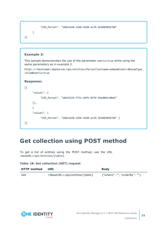```
"UID_Person": "26822a10-32bb-4268-ac59-36188301b768"
```
}]

### **Example 3:**

}

This sample demonstrates the use of the parameter noUrls=true while using the same parameters as in example 2.

```
https://<Hostname>/AppServer/api/entities/Person?lastname=adams&limit=2&loadType
=Slim&noUrls=true
```
#### **Response:**

 $\lceil$ 

```
"values": {
           "UID_Person": "18e51519-f751-4df6-8f39-24ed065c80a9"
     }},
     {
     "values": {
           "UID_Person": "26822a10-32bb-4268-ac59-36188301b768" }
}]
```
## <span id="page-24-0"></span>**Get collection using POST method**

To get a list of entities using the POST method, use the URL <baseURL>/api/entities/{table}.

#### **Table 18: Get collection (GET) request**

| HTTP method | URI                                      | <b>Body</b>                  |
|-------------|------------------------------------------|------------------------------|
| Get         | <baseurl>/api/entities/{table}</baseurl> | {"where": "", "orderBy": ""} |

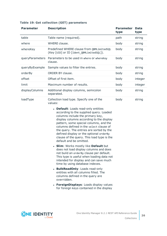| <b>Parameter</b> | <b>Description</b>                                                                                                                                                                                                                                                                                                                                                                                                  | <b>Parameter</b><br>type | <b>Data</b><br>type |
|------------------|---------------------------------------------------------------------------------------------------------------------------------------------------------------------------------------------------------------------------------------------------------------------------------------------------------------------------------------------------------------------------------------------------------------------|--------------------------|---------------------|
| table            | Table name (required).                                                                                                                                                                                                                                                                                                                                                                                              | path                     | string              |
| where            | WHERE clause.                                                                                                                                                                                                                                                                                                                                                                                                       | body                     | string              |
| whereKey         | Predefined WHERE clause from QBMLimitedSQL<br>(Key [UID] or ID [Ident_QBMLimitedSQL]).                                                                                                                                                                                                                                                                                                                              | body                     | string              |
| queryParameters  | Parameters to be used in where or whereKey<br>clause.                                                                                                                                                                                                                                                                                                                                                               | body                     | string              |
| queryByExample   | Sample values to filter the entries.                                                                                                                                                                                                                                                                                                                                                                                | body                     | string              |
| orderBy          | ORDER BY clause.                                                                                                                                                                                                                                                                                                                                                                                                    | body                     | string              |
| offset           | Offset of first item.                                                                                                                                                                                                                                                                                                                                                                                               | body                     | integer             |
| limit            | Maximum number of results.                                                                                                                                                                                                                                                                                                                                                                                          | body                     | integer             |
| displayColumns   | Additional display columns, semicolon<br>separated.                                                                                                                                                                                                                                                                                                                                                                 | body                     | string              |
| loadType         | Collection load type. Specify one of the<br>values:                                                                                                                                                                                                                                                                                                                                                                 | body                     | string              |
|                  | • Default: Loads read-only entities<br>according to the supplied query. Loaded<br>columns include the primary key,<br>display columns according to the display<br>pattern, some special columns, and the<br>columns defined in the select clause of<br>the query. The entries are sorted by the<br>defined display or the optional orderBy<br>clause of the query. This load type is the<br>default and be omitted. |                          |                     |
|                  | <b>Slim:</b> Works mostly like Default but<br>does not load display columns and does<br>not build an orderBy clause per default.<br>This type is useful when loading data not<br>intended for display and can save much<br>time by using database indexes.                                                                                                                                                          |                          |                     |
|                  | <b>BulkReadOnly: Loads read-only</b><br>entities with all columns filled. The<br>columns defined in the query are<br>overridden.                                                                                                                                                                                                                                                                                    |                          |                     |
|                  | • ForeignDisplays: Loads display values<br>for foreign keys contained in the display                                                                                                                                                                                                                                                                                                                                |                          |                     |

## **Table 19: Get collection (GET) parameters**

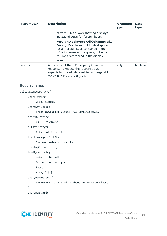| <b>Parameter</b>      | <b>Description</b>                                                                                                                                                                                             | <b>Parameter Data</b><br>type | type    |
|-----------------------|----------------------------------------------------------------------------------------------------------------------------------------------------------------------------------------------------------------|-------------------------------|---------|
|                       | pattern. This allows showing displays<br>instead of UIDs for foreign keys.                                                                                                                                     |                               |         |
|                       | • ForeignDisplaysForAllColumns: Like<br>ForeignDisplays, but loads displays<br>for all foreign keys contained in the<br>select clauses of the query, not only<br>columns referenced in the display<br>pattern. |                               |         |
| noUrls                | Allow to omit the URI property from the<br>response to reduce the response size<br>especially if used while retrieving large M:N<br>tables like PersonHasObject.                                               | body                          | boolean |
| <b>Body schema:</b>   |                                                                                                                                                                                                                |                               |         |
| CollectionQueryParms{ |                                                                                                                                                                                                                |                               |         |
| where string          |                                                                                                                                                                                                                |                               |         |
|                       | WHERE clause.                                                                                                                                                                                                  |                               |         |
|                       | whereKey string                                                                                                                                                                                                |                               |         |
|                       | Predefined WHERE clause from QBMLimitedSQL.                                                                                                                                                                    |                               |         |
|                       | orderBy string                                                                                                                                                                                                 |                               |         |
|                       | ORDER BY clause.                                                                                                                                                                                               |                               |         |
|                       | offset integer                                                                                                                                                                                                 |                               |         |
|                       | Offset of first item.                                                                                                                                                                                          |                               |         |
|                       | limit integer(\$int32)                                                                                                                                                                                         |                               |         |
|                       | Maximum number of results.                                                                                                                                                                                     |                               |         |
|                       | displayColumns []                                                                                                                                                                                              |                               |         |
|                       | loadType string                                                                                                                                                                                                |                               |         |
|                       | default: Default                                                                                                                                                                                               |                               |         |
|                       | Collection load type.                                                                                                                                                                                          |                               |         |
|                       | Enum:                                                                                                                                                                                                          |                               |         |
|                       | Array $[6]$                                                                                                                                                                                                    |                               |         |
|                       | queryParameters {                                                                                                                                                                                              |                               |         |
|                       | Parameters to be used in where or whereKey clause.                                                                                                                                                             |                               |         |
| }                     |                                                                                                                                                                                                                |                               |         |
|                       | queryByExample {                                                                                                                                                                                               |                               |         |

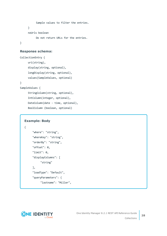```
Sample values to filter the entries.
     }
     noUrls boolean
          Do not return URLs for the entries.
}
```
#### **Response schema:**

```
CollectionEntry {
     uri(string),
     display(string, optional),
     longDisplay(string, optional),
     values(SampleValues, optional)
}
SampleValues {
     StringColumn(string, optional),
     IntColumn(integer, optional),
     DateColumn(date - time, optional),
```

```
BoolColumn (boolean, optional)
```
### **Example: Body**

{

```
"where": "string",
"whereKey": "string",
"orderBy": "string",
"offset": 0,
"limit": 0,
"displayColumns": [
     "string"
],
"loadType": "Default",
"queryParameters": {
     "lastname": "Miller",
```
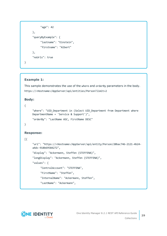```
"age": 42
     },
     "queryByExample": {
           "lastname": "Einstein",
           "firstname": "Albert"
     },
     "noUrls": true
}
```
## **Example 1:**

This sample demonstrates the use of the where and orderBy parameters in the body. https://<Hostname>/AppServer/api/entities/Person?limit=2

### **Body:**

```
{
```
"where": "UID\_Department in (Select UID\_Department from Department where DepartmentName = 'Service & Support')",

```
"orderBy": "LastName ASC, FirstName DESC"
```

```
}
```
## **Response:**

## [{

```
"uri": "https://<Hostname>/AppServer/api/entity/Person/20bac746-2121-4b24-
a4dc-918b69584272",
"display": "Ackermann, Steffen (STEFFENA)",
"longDisplay": "Ackermann, Steffen (STEFFENA)",
"values": {
     "CentralAccount": "STEFFENA",
     "FirstName": "Steffen",
     "InternalName": "Ackermann, Steffen",
     "LastName": "Ackermann",
```
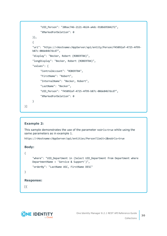```
"UID_Person": "20bac746-2121-4b24-a4dc-918b69584272",
     "XMarkedForDeletion": 0
}},
{
"uri": "https://<Hostname>/AppServer/api/entity/Person/f45092af-4725-4f99-
b87c-00de84b7dcd7",
"display": "Becker, Robert (ROBERTB4)",
"longDisplay": "Becker, Robert (ROBERTB4)",
"values": {
     "CentralAccount": "ROBERTB4",
     "FirstName": "Robert",
     "InternalName": "Becker, Robert",
     "LastName": "Becker",
     "UID_Person": "f45092af-4725-4f99-b87c-00de84b7dcd7",
     "XMarkedForDeletion": 0
}
```
### **Example 2:**

This sample demonstrates the use of the parameter noUrls=true while using the same parameters as in example 1.

```
https://<Hostname>/AppServer/api/entities/Person?limit=2&noUrls=true
```
### **Body:**

{

}]

```
"where": "UID_Department in (Select UID_Department from Department where
DepartmentName = 'Service & Support')",
"orderBy": "LastName ASC, FirstName DESC"
```
### **Response:**

[{

}

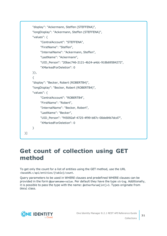```
"display": "Ackermann, Steffen (STEFFENA)",
     "longDisplay": "Ackermann, Steffen (STEFFENA)",
     "values": {
          "CentralAccount": "STEFFENA",
          "FirstName": "Steffen",
          "InternalName": "Ackermann, Steffen",
          "LastName": "Ackermann",
          "UID_Person": "20bac746-2121-4b24-a4dc-918b69584272",
          "XMarkedForDeletion": 0
     }},
     {
     "display": "Becker, Robert (ROBERTB4)",
     "longDisplay": "Becker, Robert (ROBERTB4)",
     "values": {
          "CentralAccount": "ROBERTB4",
          "FirstName": "Robert",
          "InternalName": "Becker, Robert",
          "LastName": "Becker",
          "UID_Person": "f45092af-4725-4f99-b87c-00de84b7dcd7",
          "XMarkedForDeletion": 0
     }
}]
```
## <span id="page-30-0"></span>**Get count of collection using GET method**

To get only the count for a list of entities using the GET method, use the URL <baseURL>/api/entities/{table}/count.

Query parameters to be used in WHERE clauses and predefined WHERE clauses can be provided in the form @paramname=value. Per default they have the type string. Additionally, it is possible to pass the type with the name: @otherParam[int]=3. Types originate from DbVal class.

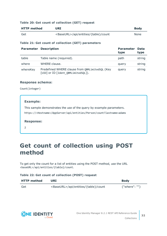#### **Table 20: Get count of collection (GET) request**

| <b>HTTP</b> method | URI                                            | <b>Body</b> |
|--------------------|------------------------------------------------|-------------|
| Get                | <baseurl>/api/entities/{table}/count</baseurl> | None        |

#### **Table 21: Get count of collection (GET) parameters**

| <b>Parameter</b> | <b>Description</b>                                                                     | <b>Parameter</b><br>type | Data<br>type |
|------------------|----------------------------------------------------------------------------------------|--------------------------|--------------|
| table            | Table name (required).                                                                 | path                     | string       |
| where            | WHERE clause.                                                                          | query                    | string       |
| whereKey         | Predefined WHERE clause from QBMLimitedSQL (Key<br>[UID] or ID [Ident QBMLimitedSQL]). | query                    | string       |

#### **Response schema:**

Count(integer)

#### **Example:**

This sample demonstrates the use of the query by example parameters.

https://<Hostname>/AppServer/api/entities/Person/count?lastname=adams

#### **Response:**

2

## <span id="page-31-0"></span>**Get count of collection using POST method**

To get only the count for a list of entities using the POST method, use the URL <baseURL>/api/entities/{table}/count.

## **Table 22: Get count of collection (POST) request**

| <b>HTTP</b> method | URI                                            | <b>Body</b>           |
|--------------------|------------------------------------------------|-----------------------|
| Get                | <baseurl>/api/entities/{table}/count</baseurl> | $\{$ "where": "" $\}$ |

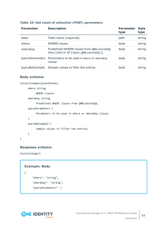| <b>Parameter</b> | <b>Description</b>                                                                     | <b>Parameter</b><br>type | <b>Data</b><br>type |
|------------------|----------------------------------------------------------------------------------------|--------------------------|---------------------|
| table            | Table name (required).                                                                 | path                     | string              |
| where            | WHERE clause.                                                                          | body                     | string              |
| whereKey         | Predefined WHERE clause from OBMLimitedSQL<br>(Key [UID] or ID [Ident QBMLimitedSQL]). | body                     | string              |
|                  | queryParameters Parameters to be used in where or whereKey<br>clause.                  | body                     | string              |
| queryByExample   | Sample values to filter the entries.                                                   | body                     | string              |

#### **Table 23: Get count of collection (POST) parameters**

#### **Body schema:**

```
CollectionQueryCountParms{
     where string
          WHERE clause.
     whereKey string
          Predefined WHERE clause from QBMLimitedSQL.
     queryParameters {
          Parameters to be used in where or whereKey clause.
     }
     queryByExample {
          Sample values to filter the entries.
     }
```
### **Response schema:**

Count(integer)

}

```
Example: Body
{
     "where": "string",
     "whereKey": "string",
```

```
"queryParameters": {
```
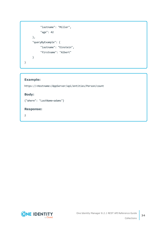```
"lastname": "Miller",
           "age": 42
     },
     "queryByExample": {
           "lastname": "Einstein",
           "firstname": "Albert"
     }
}
```
### **Example:**

https://<Hostname>/AppServer/api/entities/Person/count

## **Body:**

{"where": "LastName=adams"}

### **Response:**

2

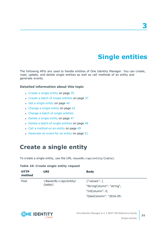# **Single entities**

<span id="page-34-0"></span>The following APIs are used to handle entities of One Identity Manager. You can create, read, update, and delete single entities as well as call methods of an entity and generate events.

#### **Detailed information about this topic**

- [Create](#page-34-1) a single entity on page 35
- Create a batch of single [entities](#page-36-0) on page 37
- $\cdot$  Get a [single](#page-39-0) entity on page 40
- [Change](#page-41-0) a single entity on page 42
- [Change](#page-42-0) a batch of single entities
- [Delete](#page-46-0) a single entity on page 47
- $\bullet$  Delete a batch of single [entities](#page-47-0) on page 48
- Call a [method](#page-48-0) on an entity on page 49
- <span id="page-34-1"></span> $\cdot$  [Generate](#page-50-0) an event for an entity on page 51

## **Create a single entity**

To create a single entity, use the URL <br/>baseURL>/api/entity/{table}.

#### **Table 24: Create single entity request**

| <b>HTTP</b><br>method | URI                                         | <b>Body</b>                                                                                    |
|-----------------------|---------------------------------------------|------------------------------------------------------------------------------------------------|
| Post                  | <baseurl>/api/entity/<br/>{table}</baseurl> | $\{$ "values": $\{$<br>"StringColumn": "string",<br>"IntColumn": 0,<br>"DateColumn": "2016-05- |

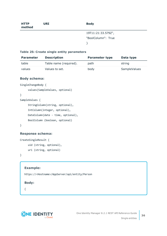| <b>HTTP</b><br>method | URI | <b>Body</b>        |
|-----------------------|-----|--------------------|
|                       |     | 19T11:21:33.579Z", |
|                       |     | "BoolColumn": True |
|                       |     |                    |
|                       |     |                    |

#### **Table 25: Create single entity parameters**

| <b>Parameter</b> | <b>Description</b>     | <b>Parameter type</b> | Data type    |
|------------------|------------------------|-----------------------|--------------|
| table            | Table name (required). | path                  | string       |
| values           | Values to set.         | body                  | SampleValues |

### **Body schema:**

```
SingleChangeBody {
```

```
values(SampleValues, optional)
```

```
}
```

```
SampleValues {
```

```
StringColumn(string, optional),
IntColumn(integer, optional),
DateColumn(date - time, optional),
BoolColumn (boolean, optional)
```
}

#### **Response schema:**

```
CreateSingleResult {
     uid (string, optional),
     uri (string, optional)
```
}

#### **Example:**

https://<Hostname>/AppServer/api/entity/Person

#### **Body:**

{

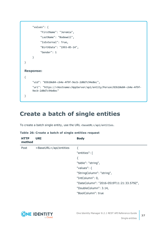```
"values": {
          "FirstName": "Jeremia",
          "LastName": "Bodewell",
          "IsExternal": True,
          "BirthDate": "1993-05-14",
          "Gender": 1
     }
}
Response:
{
     "uid": "83b10e84-c64e-4f9f-9ecb-2d0d7c94e8ec",
     "uri": "https://<Hostname>/AppServer/api/entity/Person/83b10e84-c64e-4f9f-
     9ecb-2d0d7c94e8ec"
}
```
## <span id="page-36-0"></span>**Create a batch of single entities**

To create a batch single entity, use the URL <br/>baseURL>/api/entities.

| <b>HTTP</b><br>method | URI                              | <b>Body</b>                              |
|-----------------------|----------------------------------|------------------------------------------|
| Post                  | <baseurl>/api/entities</baseurl> | ₹                                        |
|                       |                                  | "entities": [                            |
|                       |                                  | ₹                                        |
|                       |                                  | "table": "string",                       |
|                       |                                  | "values": $\{$                           |
|                       |                                  | "StringColumn": "string",                |
|                       |                                  | "IntColumn": 0,                          |
|                       |                                  | "DateColumn": "2016-0519T11:21:33.579Z", |
|                       |                                  | "DoubleColumn": 3.14,                    |
|                       |                                  | "BoolColumn": true                       |

#### **Table 26: Create a batch of single entities request**

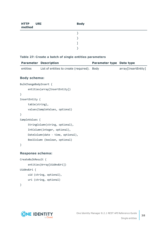| HTTP<br>method | <b>URI</b> | <b>Body</b> |
|----------------|------------|-------------|
|                |            |             |
|                |            |             |
|                |            |             |
|                |            |             |
|                |            |             |

#### **Table 27: Create a batch of single entities parameters**

|                         | <b>Parameter Description</b>                | Parameter type Data type |                     |
|-------------------------|---------------------------------------------|--------------------------|---------------------|
| entities                | List of entities to create (required). Body |                          | array[InsertEntity] |
| <b>Body schema:</b>     |                                             |                          |                     |
| BulkChangeBodyInsert {  |                                             |                          |                     |
|                         | entities(array[InsertEntity])               |                          |                     |
| }                       |                                             |                          |                     |
| InsertEntity {          |                                             |                          |                     |
| table(string),          |                                             |                          |                     |
|                         | values(SampleValues, optional)              |                          |                     |
| }                       |                                             |                          |                     |
| SampleValues {          |                                             |                          |                     |
|                         | StringColumn(string, optional),             |                          |                     |
|                         | IntColumn(integer, optional),               |                          |                     |
|                         | DateColumn(date - time, optional),          |                          |                     |
|                         | BoolColumn (boolean, optional)              |                          |                     |
| }                       |                                             |                          |                     |
| <b>Response schema:</b> |                                             |                          |                     |
| CreateBulkResult {      |                                             |                          |                     |
|                         | entities(Array[UidAndUri])                  |                          |                     |
| UidAndUri {             |                                             |                          |                     |

```
uid (string, optional),
uri (string, optional)
```
}

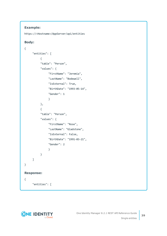## **Example:**

```
https://<Hostname>/AppServer/api/entities
```
## **Body:**

```
{
     "entities": [
           {
           "table": "Person",
           "values": {
                "FirstName": "Jeremia",
                "LastName": "Bodewell",
                "IsExternal": True,
                "BirthDate": "1993-05-14",
                "Gender": 1
                }
           },
           {
           "table": "Person",
           "values": {
                "FirstName": "Rose",
                "LastName": "Gladstone",
                "IsExternal": False,
                "BirthDate": "1991-03-21",
                "Gender": 2
                }
           }
     ]
}
Response:
{
     "entities": [
```
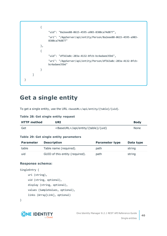

## <span id="page-39-0"></span>**Get a single entity**

To get a single entity, use the URL <br/>baseURL>/api/entity/{table}/{uid}.

### **Table 28: Get single entity request**

| <b>HTTP</b> method | URI                                          | <b>Body</b> |
|--------------------|----------------------------------------------|-------------|
| Get                | <baseurl>/api/entity/{table}/{uid}</baseurl> | <b>None</b> |

### **Table 29: Get single entity parameters**

| <b>Parameter</b> | <b>Description</b>              | <b>Parameter type</b> | Data type |
|------------------|---------------------------------|-----------------------|-----------|
| table            | Table name (required).          | path                  | string    |
| uid              | GUID of this entity (required). | path                  | string    |

### **Response schema:**

```
SingleEntry {
     uri (string),
     uid (string, optional),
     display (string, optional),
     values (SampleValues, optional),
     links (Array[Link], optional)
```
}

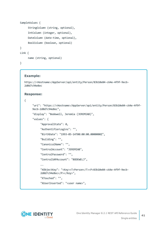```
SampleValues {
     StringColumn (string, optional),
     IntColumn (integer, optional),
     DateColumn (date-time, optional),
     BoolColumn (boolean, optional)
}
Link {
     name (string, optional)
```
}

#### **Example:**

```
https://<Hostname>/AppServer/api/entity/Person/83b10e84-c64e-4f9f-9ecb-
2d0d7c94e8ec
```
#### **Response:**

{

```
"uri": "https://<Hostname>/AppServer/api/entity/Person/83b10e84-c64e-4f9f-
9ecb-2d0d7c94e8ec",
"display": "Bodewell, Jeremia (JEREMIAB)",
"values": {
     "ApprovalState": 0,
     "AuthentifierLogins": "",
     "BirthDate": "1993-05-14T00:00:00.0000000Z",
     "Building": "",
     "CanonicalName": "",
     "CentralAccount": "JEREMIAB",
     "CentralPassword": "",
     "CentralSAPAccount": "BODEWELJ",
     ...
     "XObjectKey": "<Key><T>Person</T><P>83b10e84-c64e-4f9f-9ecb-
     2d0d7c94e8ec</P></Key>",
     "XTouched": "",
     "XUserInserted": "<user name>",
```
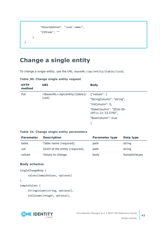```
"XUserUpdated": "<user name>",
           "ZIPCode": ""
     }
}
```
## <span id="page-41-0"></span>**Change a single entity**

To change a single entity, use the URL <br/>baseURL>/api/entity/{table}/{uid}.

| <b>HTTP</b><br>method | <b>URI</b>                                           | <b>Body</b>                                   |
|-----------------------|------------------------------------------------------|-----------------------------------------------|
| Put<br>$\{uid\}$      | <baseurl>/api/entity/{table}/ {"values": {</baseurl> | "StringColumn": "string",                     |
|                       |                                                      | "IntColumn": 0,                               |
|                       |                                                      | "DateColumn": "2016-05-<br>19T11:21:33.579Z", |
|                       |                                                      | "BoolColumn": true                            |
|                       |                                                      |                                               |

#### **Table 30: Change single entity request**

#### **Table 31: Change single entity parameters**

| <b>Parameter</b> | <b>Description</b>             | <b>Parameter type</b> | Data type    |
|------------------|--------------------------------|-----------------------|--------------|
| table            | Table name (required).         | path                  | string       |
| uid              | GUID of the entity (required). | path                  | string       |
| values           | Values to change.              | body                  | SampleValues |

## **Body schema:**

```
SingleChangeBody {
     values(SampleValues, optional)
}
SampleValues {
     StringColumn(string, optional),
     IntColumn(integer, optional),
```
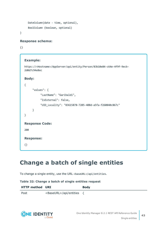```
DateColumn(date - time, optional),
BoolColumn (boolean, optional)
```
}

#### **Response schema:**

{}

### **Example:**

https://<Hostname>/AppServer/api/entity/Person/83b10e84-c64e-4f9f-9ecb-2d0d7c94e8ec

#### **Body:**

```
{
     "values": {
          "LastName": "Garibaldi",
          "IsExternal": false,
          "UID_Locality": "83615878-7205-408d-a5fa-f260840c867c"
     }
}
Response Code:
200
Response:
{}
```
## <span id="page-42-0"></span>**Change a batch of single entities**

To change a single entity, use the URL <br/>baseURL>/api/entities.

#### **Table 32: Change a batch of single entities request**

| <b>HTTP method URI</b> |                                  | <b>Body</b> |
|------------------------|----------------------------------|-------------|
| Post                   | <baseurl>/api/entities</baseurl> |             |

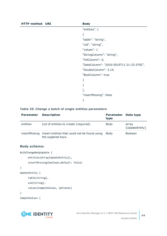| <b>HTTP method URI</b> | <b>Body</b>                              |
|------------------------|------------------------------------------|
|                        | "entities": [                            |
|                        | {                                        |
|                        | "table": "string",                       |
|                        | "uid": "string",                         |
|                        | "values": $\{$                           |
|                        | "StringColumn": "string",                |
|                        | "IntColumn": 0,                          |
|                        | "DateColumn": "2016-0519T11:21:33.579Z", |
|                        | "DoubleColumn": 3.14,                    |
|                        | "BoolColumn": true                       |
|                        | }                                        |
|                        | }                                        |
|                        | J,                                       |
|                        | "insertMissing": false                   |
|                        | }                                        |

#### **Table 33: Change a batch of single entities parameters**

| <b>Parameter</b> | <b>Description</b>                                                  | <b>Parameter</b><br>type | Data type               |
|------------------|---------------------------------------------------------------------|--------------------------|-------------------------|
| entities         | List of entities to create (required).                              | <b>Body</b>              | array<br>[UpdateEntity] |
| insertMissing    | Insert entities that could not be found using<br>the supplied keys. | Body                     | <b>Boolean</b>          |

#### **Body schema:**

```
BulkChangeBodyUpdate {
     entities(Array[UpdateEntity]),
     insertMissing(boolean,default: false)
}
UpdateEntity {
     table(string),
     uid(string),
     values(SampleValues, optional)
}
SampleValues {
```
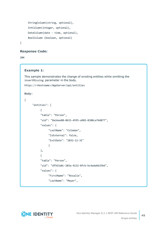```
StringColumn(string, optional),
IntColumn(integer, optional),
DateColumn(date - time, optional),
BoolColumn (boolean, optional)
```
}

#### **Response Code:**

204

#### **Example 1:**

This sample demonstrates the change of existing entities while omitting the insertMissing parameter in the body.

```
https://<Hostname>/AppServer/api/entities
```
#### **Body:**

```
{
     "entities": [
           {
           "table": "Person",
           "uid": "8a2eee88-0615-4595-a903-8388ca74d877",
           "values": {
                "LastName": "Coleman",
                "IsExternal": false,
                "ExitDate": "2032-12-31"
                }
          },
           {
           "table": "Person",
           "uid": "df563a8c-203a-4132-8fcb-bc4adabb35b6",
           "values": {
                "FirstName": "Rosalie",
                "LastName": "Meyer",
```
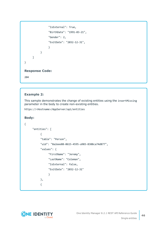```
"IsExternal": True,
                "BirthDate": "1991-03-21",
                "Gender": 2,
                "ExitDate": "2032-12-31",
                }
          }
     ]
}
Response Code:
204
```
### **Example 2:**

This sample demonstrates the change of existing entities using the insertMissing parameter in the body to create non-existing entities.

```
https://<Hostname>/AppServer/api/entities
```

```
Body:
```
{

```
"entities": [
     {
     "table": "Person",
     "uid": "8a2eee88-0615-4595-a903-8388ca74d877",
     "values": {
           "FirstName": "Jeremy",
           "LastName": "Coleman",
           "IsExternal": false,
           "ExitDate": "2032-12-31"
           }
     },
     {
```
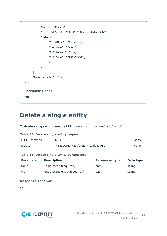```
"table": "Person",
           "uid": "df563a8c-203a-4132-8fcb-bc4adaee35b6",
           "values": {
                "FirstName": "Rosalie",
                "LastName": "Meyer",
                "IsExternal": True,
                "ExitDate": "2032-12-31",
                }
          }
     ]
     "insertMissing": True
}
Response Code:
204
```
## <span id="page-46-0"></span>**Delete a single entity**

To delete a single entity, use the URL <br/>baseURL>/api/entity/{table}/{uid}.

#### **Table 34: Delete single entity request**

| <b>HTTP method</b> | URI                                          | <b>Body</b> |
|--------------------|----------------------------------------------|-------------|
| <b>Delete</b>      | <baseurl>/api/entity/{table}/{uid}</baseurl> | None        |

#### **Table 35: Delete single entity parameters**

| <b>Parameter</b> | <b>Description</b>             | <b>Parameter type</b> | Data type |
|------------------|--------------------------------|-----------------------|-----------|
| table            | Table name (required).         | path                  | string    |
| uid              | GUID of the entity (required). | path                  | string    |

#### **Response schema:**

{}

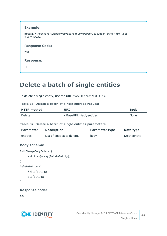| <b>Example:</b>                                                                                      |
|------------------------------------------------------------------------------------------------------|
| https:// <hostname>/AppServer/api/entity/Person/83b10e84-c64e-4f9f-9ecb-<br/>2d0d7c94e8ec</hostname> |
| <b>Response Code:</b>                                                                                |
| 200                                                                                                  |
| <b>Response:</b>                                                                                     |
| {}                                                                                                   |

## <span id="page-47-0"></span>**Delete a batch of single entities**

To delete a single entity, use the URL <br/>baseURL>/api/entities.

#### **Table 36: Delete a batch of single entities request**

| <b>HTTP method</b> | URI                              | <b>Body</b> |
|--------------------|----------------------------------|-------------|
| Delete             | <baseurl>/api/entities</baseurl> | None        |

#### **Table 37: Delete a batch of single entities parameters**

| <b>Parameter</b> | <b>Description</b>          | <b>Parameter type</b> | Data type    |
|------------------|-----------------------------|-----------------------|--------------|
| entities         | List of entities to delete. | body                  | DeleteEntity |

#### **Body schema:**

```
BulkChangeBodyDelete {
     entities(array[DeleteEntity])
}
DeleteEntity {
     table(string),
     uid(string)
```
}

#### **Response code:**

204

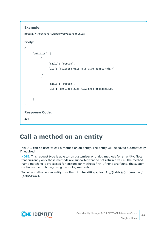```
Example:
```

```
https://<Hostname>/AppServer/api/entities
```
## **Body:**

```
{
     "entities": [
          {
                "table": "Person",
                "uid": "8a2eee88-0615-4595-a903-8388ca74d877"
           },
           {
                "table": "Person",
                "uid": "df563a8c-203a-4132-8fcb-bc4adaee35b6"
          }
     ]
}
Response Code:
204
```
## <span id="page-48-0"></span>**Call a method on an entity**

This URL can be used to call a method on an entity. The entity will be saved automatically if required.

NOTE: This request type is able to run customizer or dialog methods for an entity. Note that currently only those methods are supported that do not return a value. The method name matching is processed for customizer methods first. If none are found, the system continues the matching using the dialog methods.

To call a method on an entity, use the URL <br/>baseURL>/api/entity/{table}/{uid}/method/ {methodName}.

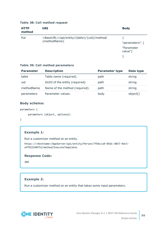#### **Table 38: Call method request**

| <b>HTTP</b><br>method | <b>URI</b>                                                            | <b>Body</b>           |
|-----------------------|-----------------------------------------------------------------------|-----------------------|
| Put                   | <baseurl>/api/entity/{table}/{uid}/method/<br/>{methodName}</baseurl> | "parameters": [       |
|                       |                                                                       | "Parameter<br>value"] |
|                       |                                                                       |                       |

#### **Table 39: Call method parameters**

| <b>Parameter</b> | <b>Description</b>             | <b>Parameter type</b> | Data type |
|------------------|--------------------------------|-----------------------|-----------|
| table            | Table name (required).         | path                  | string    |
| uid              | GUID of the entity (required). | path                  | string    |
| methodName       | Name of the method (required). | path                  | string    |
| parameters       | Parameter values.              | body                  | object[]  |

#### **Body schema:**

```
parameters {
```

```
parameters (object, optional)
```
}

### **Example 1:**

Run a customizer method on an entity.

https://<Hostname>/AppServer/api/entity/Person/7f6bcca9-05dc-4857-9dc5 eff915590752/method/ExecuteTemplates

### **Response Code:**

204

### **Example 2:**

Run a customizer method on an entity that takes some input parameters.

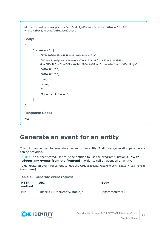```
https://<Hostname>/AppServer/api/entity/Person/9ec76ebd-2024-4a10-a079-
948414c8b2c0/method/DelegateElement
Body:
{
     "parameters": [
          "f79c30fd-87bb-4958-a812-0683ddcac7c9",
          "<Key><T>HelperHeadPerson</T><P>d4943ffc-d453-4611-8365-
          4ba394558b15</P><P>9ec76ebd-2024-4a10-a079-948414c8b2c0</P></Key>",
          "2016-05-31",
           "2016-08-01",
          true,
          false,
          "",
          "Is on sick leave."
     ]
}
Response Code:
204
```
## <span id="page-50-0"></span>**Generate an event for an entity**

This URL can be used to generate an event for an entity. Additional generation parameters can be provided.

NOTE: The authenticated user must be entitled to use the program function **Allow to trigger any events from the frontend** in order to call an event on an entity.

To generate an event for an entity, use the URL <br/>baseURL>/api/entity/{table}/{uid}/event/ {eventName}.

#### **Table 40: Generate event request**

| <b>HTTP</b><br>method | URI                                     | <b>Body</b>            |
|-----------------------|-----------------------------------------|------------------------|
| Put                   | <baseurl>/api/entity/{table}/</baseurl> | ${$ "parameters": ${}$ |

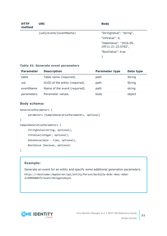| <b>HTTP</b><br>method | <b>URI</b>              | <b>Body</b>                                  |
|-----------------------|-------------------------|----------------------------------------------|
|                       | {uid}/event/{eventName} | "StringValue": "string",                     |
|                       |                         | "IntValue": 0,                               |
|                       |                         | "DateValue": "2016-05-<br>19T11:21:33.579Z", |
|                       |                         | "BoolValue": true                            |
|                       |                         |                                              |

#### **Table 41: Generate event parameters**

| <b>Parameter</b> | <b>Description</b>             | <b>Parameter type</b> | Data type     |
|------------------|--------------------------------|-----------------------|---------------|
| table            | Table name (required).         | path                  | <b>String</b> |
| uid              | GUID of the entity (required). | path                  | String        |
| eventName        | Name of the event (required).  | path                  | string        |
| parameters       | Parameter values.              | body                  | object        |

#### **Body schema:**

```
GenerationParameters {
     parameters (SampleGenerationParameters, optional)
}
```

```
SampleGenerationParameters {
```

```
StringValue(string, optional),
IntValue(integer, optional),
```

```
DateValue(date - time, optional),
```
BoolValue (boolean, optional)

}

### **Example:**

Generate an event for an entity and specify some additional generation parameters.

https://<Hostname>/AppServer/api/entity/Person/6ecb123a-0c8c-4eec-bded-2c4909b886f5/event/DelegateAsync

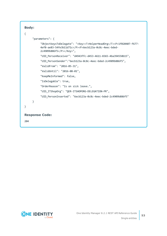



**53**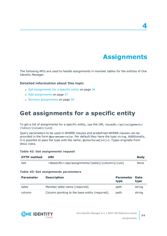**Assignments**

**4**

<span id="page-53-0"></span>The following APIs are used to handle assignments in member tables for the entities of One Identity Manager.

#### **Detailed information about this topic**

- Get [assignments](#page-53-1) for a specific entity on page 54
- Add [assignments](#page-56-0) on page 57
- $\cdot$  Remove [assignments](#page-58-0) on page 59

## <span id="page-53-1"></span>**Get assignments for a specific entity**

To get a list of assignments for a specific entity, use the URL <br/>baseURL>/api/assignments/ {table}/{column}/{uid}.

Query parameters to be used in WHERE clauses and predefined WHERE clauses can be provided in the form @paramname=value. Per default they have the type string. Additionally, it is possible to pass the type with the name: @otherParam[int]=3. Types originate from DbVal class.

#### **Table 42: Get assignments request**

| <b>HTTP</b> method | URI                                                        |                          | <b>Body</b>  |
|--------------------|------------------------------------------------------------|--------------------------|--------------|
| Get                | <baseurl>/api/assignments/{table}/{column}/{uid}</baseurl> |                          | <b>None</b>  |
|                    | Table 43: Get assignments parameters                       |                          |              |
| <b>Parameter</b>   | <b>Description</b>                                         | <b>Parameter</b><br>type | Data<br>type |
| table              | Member table name (required).                              | path                     | string       |
| column             | Column pointing to the base entity (required).             | path                     | string       |

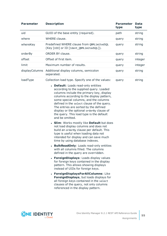| <b>Parameter</b> | <b>Description</b>                                                                                                                                                                                                                                                                                                                                                                                                  | <b>Parameter</b><br>type | <b>Data</b><br>type |
|------------------|---------------------------------------------------------------------------------------------------------------------------------------------------------------------------------------------------------------------------------------------------------------------------------------------------------------------------------------------------------------------------------------------------------------------|--------------------------|---------------------|
| uid              | GUID of the base entity (required).                                                                                                                                                                                                                                                                                                                                                                                 | path                     | string              |
| where            | WHERE clause.                                                                                                                                                                                                                                                                                                                                                                                                       | query                    | string              |
| whereKey         | Predefined WHERE clause from QBMLimitedSQL<br>(Key [UID] or ID [Ident_QBMLimitedSQL]).                                                                                                                                                                                                                                                                                                                              | query                    | string              |
| orderBy          | ORDER BY clause.                                                                                                                                                                                                                                                                                                                                                                                                    | query                    | string              |
| offset           | Offset of first item.                                                                                                                                                                                                                                                                                                                                                                                               | query                    | integer             |
| limit            | Maximum number of results.                                                                                                                                                                                                                                                                                                                                                                                          | query                    | integer             |
| displayColumns   | Additional display columns, semicolon<br>separated.                                                                                                                                                                                                                                                                                                                                                                 | query                    | string              |
| loadType         | Collection load type. Specify one of the values:                                                                                                                                                                                                                                                                                                                                                                    | query                    | string              |
|                  | • Default: Loads read-only entities<br>according to the supplied query. Loaded<br>columns include the primary key, display<br>columns according to the display pattern,<br>some special columns, and the columns<br>defined in the select clause of the query.<br>The entries are sorted by the defined<br>display or the optional orderBy clause of<br>the query. This load type is the default<br>and be omitted. |                          |                     |
|                  | <b>Slim:</b> Works mostly like <b>Default</b> but does<br>not load display columns and does not<br>build an orderBy clause per default. This<br>type is useful when loading data not<br>intended for display and can save much<br>time by using database indexes.                                                                                                                                                   |                          |                     |
|                  | • BulkReadOnly: Loads read-only entities<br>with all columns filled. The columns<br>defined in the query are overridden.                                                                                                                                                                                                                                                                                            |                          |                     |
|                  | • ForeignDisplays: Loads display values<br>for foreign keys contained in the display<br>pattern. This allows showing displays<br>instead of UIDs for foreign keys.                                                                                                                                                                                                                                                  |                          |                     |
|                  | • ForeignDisplaysForAllColumns: Like<br>ForeignDisplays, but loads displays for<br>all foreign keys contained in the select<br>clauses of the query, not only columns<br>referenced in the display pattern.                                                                                                                                                                                                         |                          |                     |

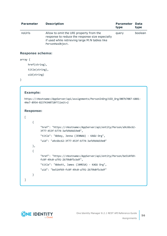| <b>Parameter</b> | <b>Description</b>                                                                                                                                               | <b>Parameter</b><br>type | Data<br>type |
|------------------|------------------------------------------------------------------------------------------------------------------------------------------------------------------|--------------------------|--------------|
| noUrls           | Allow to omit the URI property from the<br>response to reduce the response size especially<br>if used while retrieving large M:N tables like<br>PersonHasObject. | query                    | boolean      |

#### **Response schema:**

```
array {
     href(string),
     title(string),
     uid(string)
```
}

#### **Example:**

```
https://<Hostname>/AppServer/api/assignments/PersonInOrg/UID_Org/007b7087-6881-
44e7-8954-82374340718f?limit=2
```
#### **Response:**

```
\Gamma{
           "href": "https://<Hostname>/AppServer/api/entity/Person/a9c6bc62-
          3f77-453f-b774-3afd9d4d19e0",
           "title": "Abbey, Jenna (JENNAA) - KAGU Org",
           "uid": "a9c6bc62-3f77-453f-b774-3afd9d4d19e0"
     },
     {
           "href": "https://<Hostname>/AppServer/api/entity/Person/be514f69-
          fc8f-49c0-a791-2b79b8f5cbdf",
           "title": "Abbott, James (JAMESA) - KAGU Org",
           "uid": "be514f69-fc8f-49c0-a791-2b79b8f5cbdf"
     }
]
```
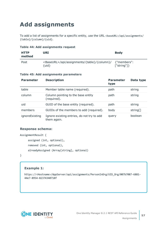# <span id="page-56-0"></span>**Add assignments**

To add a list of assignments for a specific entity, use the URL <br/>baseURL>/api/assignments/ {table}/{column}/{uid}.

#### **Table 44: Add assignments request**

| <b>HTTP</b><br>method | URI                                                                                                    | <b>Body</b> |
|-----------------------|--------------------------------------------------------------------------------------------------------|-------------|
| Post                  | <baseurl>/api/assignments/{table}/{column}/ {"members":<br/><math>{</math>luid<math>}</math></baseurl> | ['string"]  |

#### **Table 45: Add assignments parameters**

| <b>Parameter</b> | <b>Description</b>                                        | <b>Parameter</b><br>type | Data type |
|------------------|-----------------------------------------------------------|--------------------------|-----------|
| table            | Member table name (required).                             | path                     | string    |
| column           | Column pointing to the base entity<br>(required).         | path                     | string    |
| uid              | GUID of the base entity (required).                       | path                     | string    |
| members          | GUIDs of the members to add (required).                   | body                     | string[]  |
| ignoreExisting   | Ignore existing entries, do not try to add<br>them again. | query                    | boolean   |

#### **Response schema:**

```
AssignmentResult {
     assigned (int, optional),
     removed (int, optional),
     alreadyAssigned (Array[string], optional)
```
}

### **Example 1:**

https://<Hostname>/AppServer/api/assignments/PersonInOrg/UID\_Org/007b7087-6881- 44e7-8954-82374340718f

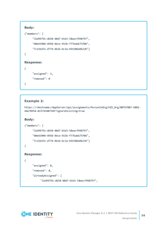```
Body:
```

```
{"members": [
     "31d99791-d658-40d7-b5e5-58eecf998797",
     "40e43904-4958-4bce-915b-f77bab675f06",
     "7c21b251-d774-4616-bc3a-b91506ddb23b"]
}
Response:
{
     "assigned": 3,
```

```
"removed": 0
```

```
}
```
## **Example 2:**

```
https://<Hostname>/AppServer/api/assignments/PersonInOrg/UID_Org/007b7087-6881-
44e78954-82374340718f?ignoreExisting=true
```
## **Body:**

```
{"members": [
     "31d99791-d658-40d7-b5e5-58eecf998797",
     "40e43904-4958-4bce-915b-f77bab675f06",
     "7c21b251-d774-4616-bc3a-b91506ddb23b"]
}
Response:
{
     "assigned": 0,
     "removed": 0,
     "alreadyAssigned": [
           "31d99791-d658-40d7-b5e5-58eecf998797",
```


**58**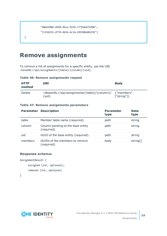```
"40e43904-4958-4bce-915b-f77bab675f06",
"7c21b251-d774-4616-bc3a-b91506ddb23b"]
```
## <span id="page-58-0"></span>**Remove assignments**

To remove a list of assignments for a specific entity, use the URL <baseURL>/api/assignments/{table}/{column}/{uid}.

| <b>HTTP</b><br>method | URI                                                                          | <b>Body</b>               |
|-----------------------|------------------------------------------------------------------------------|---------------------------|
| Delete                | <baseurl>/api/assignments/{table}/{column}/<br/><math>{uid}</math></baseurl> | {"members":<br>['string"] |

#### **Table 46: Remove assignments request**

#### **Table 47: Remove assignments parameters**

|         | <b>Parameter Description</b>                      | <b>Parameter</b><br>type | <b>Data</b><br>type |
|---------|---------------------------------------------------|--------------------------|---------------------|
| table   | Member table name (required).                     | path                     | string              |
| column  | Column pointing to the base entity<br>(required). | path                     | string              |
| uid     | GUID of the base entity (required).               | path                     | string              |
| members | GUIDs of the members to remove<br>(required).     | body                     | string[]            |

#### **Response schema:**

```
AssignmentResult {
     assigned (int, optional),
     removed (int, optional)
```

```
}
```
}

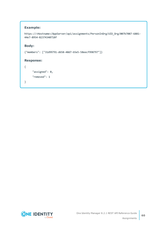## **Example:**

```
https://<Hostname>/AppServer/api/assignments/PersonInOrg/UID_Org/007b7087-6881-
44e7-8954-82374340718f
```
#### **Body:**

```
{"members": ["31d99791-d658-40d7-b5e5-58eecf998797"]}
```
#### **Response:**

```
{
     "assigned": 0,
     "removed": 1
```
}

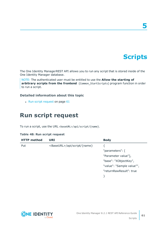# **Scripts**

**5**

<span id="page-60-0"></span>The One Identity ManagerREST API allows you to run any script that is stored inside of the One Identity Manager database.

NOTE: The authenticated user must be entitled to use the **Allow the starting of arbitrary scripts from the frontend** (Common\_StartScripts) program function in order to run a script.

#### **Detailed information about this topic**

<span id="page-60-1"></span> $\cdot$  Run script [request](#page-60-1) on page 61

## **Run script request**

To run a script, use the URL <br/>baseURL>/api/script/{name}.

| <b>HTTP</b> method | URI                                   | <b>Body</b>               |
|--------------------|---------------------------------------|---------------------------|
| Put                | <baseurl>/api/script/{name}</baseurl> |                           |
|                    |                                       | "parameters": [           |
|                    |                                       | "Parameter value"],       |
|                    |                                       | "base": "XObjectKey",     |
|                    |                                       | "value": "Sample value"", |
|                    |                                       | "returnRawResult": true   |
|                    |                                       |                           |

#### **Table 48: Run script request**

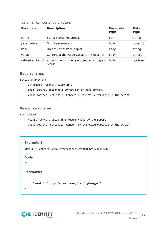#### **Table 49: Run script parameters**

| <b>Parameter</b> | <b>Description</b>                                                     | <b>Parameter</b><br>type | <b>Data</b><br>type |
|------------------|------------------------------------------------------------------------|--------------------------|---------------------|
| name             | Script name (required).                                                | path                     | string              |
| parameters       | Script parameters.                                                     | body                     | object[]            |
| base             | Object key of base object.                                             | body                     | string              |
| value            | Content of the value variable in the script.                           | body                     | object              |
|                  | returnRawResult Allow to return the raw object or string as<br>result. | body                     | boolean             |

#### **Body schema:**

```
ScriptParameters {
     parameters (object, optional),
     base (string, optional): Object key of base object,
     value (object, optional): Content of the Value variable in the script
}
```
### **Response schema:**

```
ScriptResult {
     result (object, optional): Return value of the script,
     value (object, optional): Content of the Value variable in the script
```

```
}
```

```
Example 1:
https://<Hostname>/AppServer/api/script/QER_GetWebBaseURL
Body:
{}
Response:
{
     "result": "https://<Hostname>/IdentityManager/"
}
```
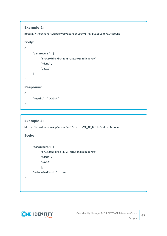## **Example 2:**

https://<Hostname>/AppServer/api/script/VI\_AE\_BuildCentralAccount

```
Body:
```

```
{
     "parameters": [
           "f79c30fd-87bb-4958-a812-0683ddcac7c9",
          "Adams",
          "David"
     ]
}
Response:
{
     "result": "DAVIDA"
```
}

## **Example 3:**

https://<Hostname>/AppServer/api/script/VI\_AE\_BuildCentralAccount

## **Body:**

{

}

```
"parameters": [
     "f79c30fd-87bb-4958-a812-0683ddcac7c9",
     "Adams",
     "David"
     ],
"returnRawResult": true
```
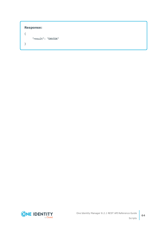```
Response:
{
     "result": "DAVIDA"
}
```


**64**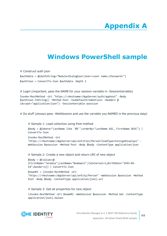# **Appendix A**

# **Appendix:Windows PowerShell sample**

<span id="page-64-0"></span># Construct auth json \$authdata = @{AuthString="Module=DialogUser;User=<user name>;Password="} \$authJson = ConvertTo-Json \$authdata -Depth 2

# Login (important, pass the NAME for your session variable in -SessionVariable) Invoke-RestMethod -Uri "https://<Hostname>/AppServer/auth/apphost" -Body \$authJson.ToString() -Method Post -UseDefaultCredentials -Headers @ {Accept="application/json"} -SessionVariable wsession

# Do stuff (always pass -WebSession and use the variable you NAMED in the previous step)

# Sample 1: Load collection using Post method

```
$body = @{where="LastName like 'B%'";orderBy="LastName ASC, FirstName DESC"} |
ConvertTo-Json
```

```
Invoke-RestMethod -Uri
"https://<Hostname>/AppServer/api/entities/Person?loadType=ForeignDisplays" -
WebSession $wsession -Method Post -Body $body -ContentType application/json
```
# Sample 2: Create a new object and return URI of new object

```
$body = @{values=}\n{FirstName="Jeremia";LastName="Bodewell";IsExternal=1;BirthDate="1993-05-
14";Gender=1}} | ConvertTo-Json
```

```
$newURI = (Invoke-RestMethod -Uri
"https://<Hostname>/AppServer/api/entity/Person" -WebSession $wsession -Method
Post -Body $body -ContentType application/json).uri
```
# Sample 3: Get all properties for new object

(Invoke-RestMethod -Uri \$newURI -WebSession \$wsession -Method Get -ContentType application/json).Values

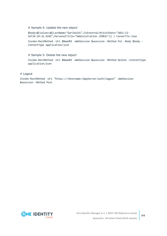#### # Sample 4: Update the new object

\$body=@{values=@{LastName="Garibaldi";IsExternal=0;ExitDate="2021-12- 16T14:24:32.424Z";PersonalTitle="Administration (EMEA)"}} | ConvertTo-Json

Invoke-RestMethod -Uri \$NewURI -WebSession \$wsession -Method Put -Body \$body - ContentType application/json

# Sample 5: Delete the new object

Invoke-RestMethod -Uri \$NewURI -WebSession \$wsession -Method Delete -ContentType application/json

# Logout

Invoke-RestMethod -Uri "https://<Hostname>/AppServer/auth/logout" -WebSession \$wsession -Method Post